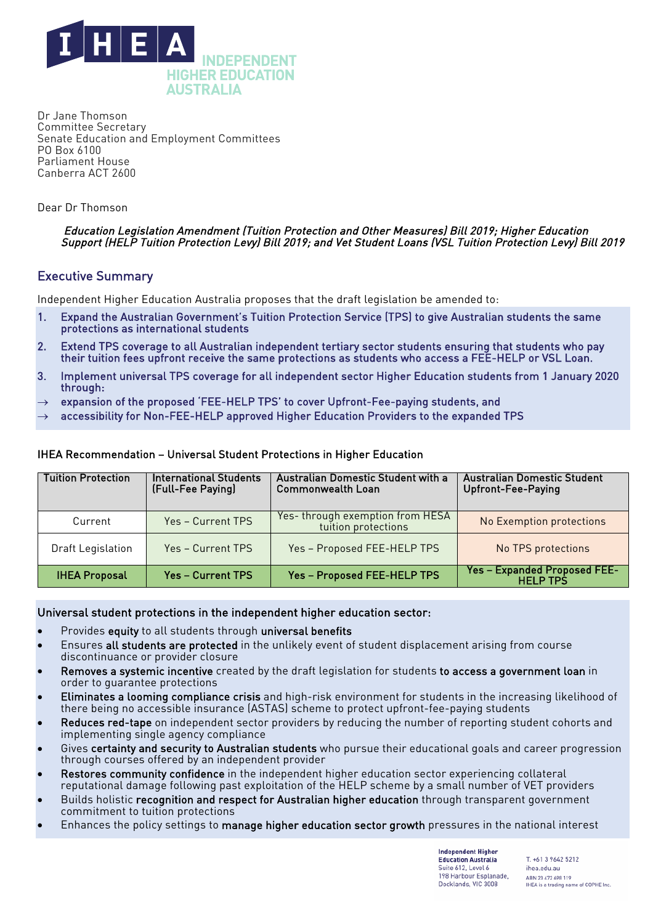

Dr Jane Thomson Committee Secretary Senate Education and Employment Committees PO Box 6100 Parliament House Canberra ACT 2600

Dear Dr Thomson

#### Education Legislation Amendment (Tuition Protection and Other Measures) Bill 2019; Higher Education Support (HELP Tuition Protection Levy) Bill 2019; and Vet Student Loans (VSL Tuition Protection Levy) Bill 2019

# Executive Summary

Independent Higher Education Australia proposes that the draft legislation be amended to:

- 1. Expand the Australian Government's Tuition Protection Service (TPS) to give Australian students the same protections as international students
- 2. Extend TPS coverage to all Australian independent tertiary sector students ensuring that students who pay their tuition fees upfront receive the same protections as students who access a FEE-HELP or VSL Loan.
- 3. Implement universal TPS coverage for all independent sector Higher Education students from 1 January 2020 through:
- $\rightarrow$  expansion of the proposed 'FEE-HELP TPS' to cover Upfront-Fee-paying students, and
- $\rightarrow$  accessibility for Non-FEE-HELP approved Higher Education Providers to the expanded TPS

# IHEA Recommendation – Universal Student Protections in Higher Education

| <b>Tuition Protection</b> | <b>International Students</b><br>(Full-Fee Paying) | <b>Australian Domestic Student with a</b><br><b>Commonwealth Loan</b> | <b>Australian Domestic Student</b><br><b>Upfront-Fee-Paying</b> |
|---------------------------|----------------------------------------------------|-----------------------------------------------------------------------|-----------------------------------------------------------------|
| Current                   | Yes - Current TPS                                  | Yes-through exemption from HESA<br>tuition protections                | No Exemption protections                                        |
| <b>Draft Legislation</b>  | Yes - Current TPS                                  | Yes - Proposed FEE-HELP TPS                                           | No TPS protections                                              |
| <b>IHEA Proposal</b>      | <b>Yes - Current TPS</b>                           | Yes - Proposed FEE-HELP TPS                                           | <b>Yes - Expanded Proposed FEE-</b><br><b>HFI P TPS</b>         |

#### Universal student protections in the independent higher education sector:

- Provides equity to all students through universal benefits
- Ensures all students are protected in the unlikely event of student displacement arising from course discontinuance or provider closure
- Removes a systemic incentive created by the draft legislation for students to access a government loan in order to guarantee protections
- Eliminates a looming compliance crisis and high-risk environment for students in the increasing likelihood of there being no accessible insurance (ASTAS) scheme to protect upfront-fee-paying students
- Reduces red-tape on independent sector providers by reducing the number of reporting student cohorts and implementing single agency compliance
- Gives certainty and security to Australian students who pursue their educational goals and career progression through courses offered by an independent provider
- Restores community confidence in the independent higher education sector experiencing collateral reputational damage following past exploitation of the HELP scheme by a small number of VET providers
- Builds holistic recognition and respect for Australian higher education through transparent government commitment to tuition protections
- Enhances the policy settings to manage higher education sector growth pressures in the national interest

**Independent Higher Education Australia** Suite 612, Level 6 198 Harbour Esplanade. Docklands, VIC 3008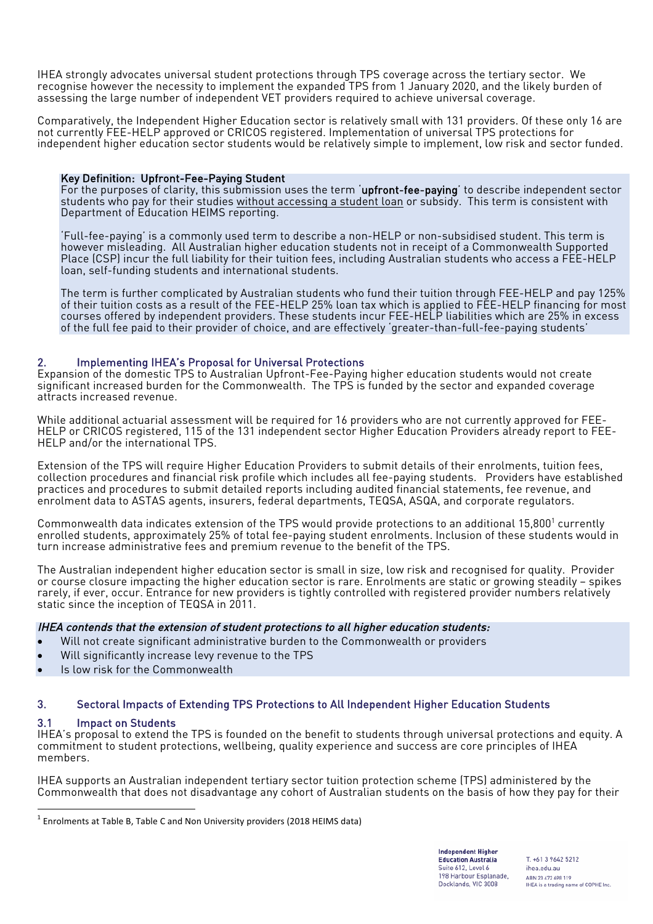IHEA strongly advocates universal student protections through TPS coverage across the tertiary sector. We recognise however the necessity to implement the expanded TPS from 1 January 2020, and the likely burden of assessing the large number of independent VET providers required to achieve universal coverage.

Comparatively, the Independent Higher Education sector is relatively small with 131 providers. Of these only 16 are not currently FEE-HELP approved or CRICOS registered. Implementation of universal TPS protections for independent higher education sector students would be relatively simple to implement, low risk and sector funded.

### Key Definition: Upfront-Fee-Paying Student

For the purposes of clarity, this submission uses the term 'upfront-fee-paying' to describe independent sector students who pay for their studies without accessing a student loan or subsidy. This term is consistent with Department of Education HEIMS reporting.

'Full-fee-paying' is a commonly used term to describe a non-HELP or non-subsidised student. This term is however misleading. All Australian higher education students not in receipt of a Commonwealth Supported Place (CSP) incur the full liability for their tuition fees, including Australian students who access a FEE-HELP loan, self-funding students and international students.

The term is further complicated by Australian students who fund their tuition through FEE-HELP and pay 125% of their tuition costs as a result of the FEE-HELP 25% loan tax which is applied to FEE-HELP financing for most courses offered by independent providers. These students incur FEE-HELP liabilities which are 25% in excess of the full fee paid to their provider of choice, and are effectively 'greater-than-full-fee-paying students'

# Implementing IHEA's Proposal for Universal Protections

Expansion of the domestic TPS to Australian Upfront-Fee-Paying higher education students would not create significant increased burden for the Commonwealth. The TPS is funded by the sector and expanded coverage attracts increased revenue.

While additional actuarial assessment will be required for 16 providers who are not currently approved for FEE-HELP or CRICOS registered, 115 of the 131 independent sector Higher Education Providers already report to FEE-HELP and/or the international TPS.

Extension of the TPS will require Higher Education Providers to submit details of their enrolments, tuition fees, collection procedures and financial risk profile which includes all fee-paying students. Providers have established practices and procedures to submit detailed reports including audited financial statements, fee revenue, and enrolment data to ASTAS agents, insurers, federal departments, TEQSA, ASQA, and corporate regulators.

Commonwealth data indicates extension of the TPS would provide protections to an additional  $15.800<sup>1</sup>$  currently enrolled students, approximately 25% of total fee-paying student enrolments. Inclusion of these students would in turn increase administrative fees and premium revenue to the benefit of the TPS.

The Australian independent higher education sector is small in size, low risk and recognised for quality. Provider or course closure impacting the higher education sector is rare. Enrolments are static or growing steadily – spikes rarely, if ever, occur. Entrance for new providers is tightly controlled with registered provider numbers relatively static since the inception of TEQSA in 2011.

# IHEA contends that the extension of student protections to all higher education students:

- Will not create significant administrative burden to the Commonwealth or providers
- Will significantly increase levy revenue to the TPS
- Is low risk for the Commonwealth

#### $3<sub>1</sub>$ 3. Sectoral Impacts of Extending TPS Protections to All Independent Higher Education Students

#### 3.1 Impact on Students

IHEA's proposal to extend the TPS is founded on the benefit to students through universal protections and equity. A commitment to student protections, wellbeing, quality experience and success are core principles of IHEA members.

IHEA supports an Australian independent tertiary sector tuition protection scheme (TPS) administered by the Commonwealth that does not disadvantage any cohort of Australian students on the basis of how they pay for their

**Independent Higher Education Australia** Suite 612, Level 6 198 Harbour Esplanade. Docklands, VIC 3008

 $1$  Enrolments at Table B, Table C and Non University providers (2018 HEIMS data)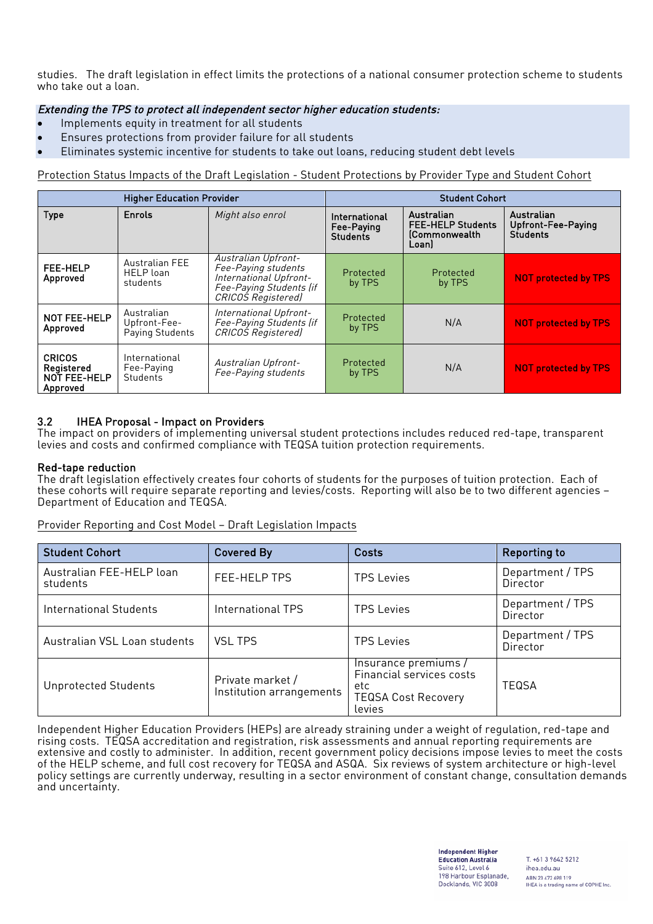studies. The draft legislation in effect limits the protections of a national consumer protection scheme to students who take out a loan.

# Extending the TPS to protect all independent sector higher education students:

- Implements equity in treatment for all students
- Ensures protections from provider failure for all students
- Eliminates systemic incentive for students to take out loans, reducing student debt levels

Protection Status Impacts of the Draft Legislation - Student Protections by Provider Type and Student Cohort

| <b>Higher Education Provider</b>                        |                                                       | <b>Student Cohort</b>                                                                                                        |                                                |                                                                        |                                                     |
|---------------------------------------------------------|-------------------------------------------------------|------------------------------------------------------------------------------------------------------------------------------|------------------------------------------------|------------------------------------------------------------------------|-----------------------------------------------------|
| <b>Type</b>                                             | Enrols                                                | Might also enrol                                                                                                             | International<br>Fee-Paying<br><b>Students</b> | Australian<br><b>FEE-HELP Students</b><br><b>Commonwealth</b><br>Loan) | Australian<br>Upfront-Fee-Paying<br><b>Students</b> |
| FEE-HELP<br>Approved                                    | <b>Australian FEE</b><br><b>HELP</b> loan<br>students | Australian Upfront-<br>Fee-Paying students<br>International Upfront-<br>Fee-Paying Students (if<br><b>CRICOS Registered)</b> | Protected<br>by TPS                            | Protected<br>by TPS                                                    | <b>NOT protected by TPS</b>                         |
| NOT FEE-HELP<br>Approved                                | Australian<br>Upfront-Fee-<br>Paying Students         | International Upfront-<br>Fee-Paying Students (if<br><b>CRICOS Registered)</b>                                               | Protected<br>by TPS                            | N/A                                                                    | <b>NOT protected by TPS</b>                         |
| <b>CRICOS</b><br>Registered<br>NOT FEE-HELP<br>Approved | International<br>Fee-Paying<br>Students               | Australian Upfront-<br>Fee-Paying students                                                                                   | Protected<br>by TPS                            | N/A                                                                    | <b>NOT protected by TPS</b>                         |

# 3.2 IHEA Proposal - Impact on Providers

The impact on providers of implementing universal student protections includes reduced red-tape, transparent levies and costs and confirmed compliance with TEQSA tuition protection requirements.

#### Red-tape reduction

The draft legislation effectively creates four cohorts of students for the purposes of tuition protection. Each of these cohorts will require separate reporting and levies/costs. Reporting will also be to two different agencies – Department of Education and TEQSA.

#### Provider Reporting and Cost Model – Draft Legislation Impacts

| <b>Student Cohort</b>                | <b>Covered By</b>                            | <b>Costs</b>                                                                                    | <b>Reporting to</b>                 |
|--------------------------------------|----------------------------------------------|-------------------------------------------------------------------------------------------------|-------------------------------------|
| Australian FEE-HELP loan<br>students | FEE-HELP TPS                                 | <b>TPS Levies</b>                                                                               | Department / TPS<br>Director        |
| International Students               | International TPS                            | <b>TPS Levies</b>                                                                               | Department / TPS<br>Director        |
| Australian VSL Loan students         | <b>VSL TPS</b>                               | <b>TPS Levies</b>                                                                               | Department / TPS<br><b>Director</b> |
| <b>Unprotected Students</b>          | Private market /<br>Institution arrangements | Insurance premiums /<br>Financial services costs<br>etc<br><b>TEQSA Cost Recovery</b><br>levies | TEQSA                               |

Independent Higher Education Providers (HEPs) are already straining under a weight of regulation, red-tape and rising costs. TEQSA accreditation and registration, risk assessments and annual reporting requirements are extensive and costly to administer. In addition, recent government policy decisions impose levies to meet the costs of the HELP scheme, and full cost recovery for TEQSA and ASQA. Six reviews of system architecture or high-level policy settings are currently underway, resulting in a sector environment of constant change, consultation demands and uncertainty.

> **Independent Higher Education Australia** Suite 612, Level 6 198 Harbour Esplanade. Docklands, VIC 3008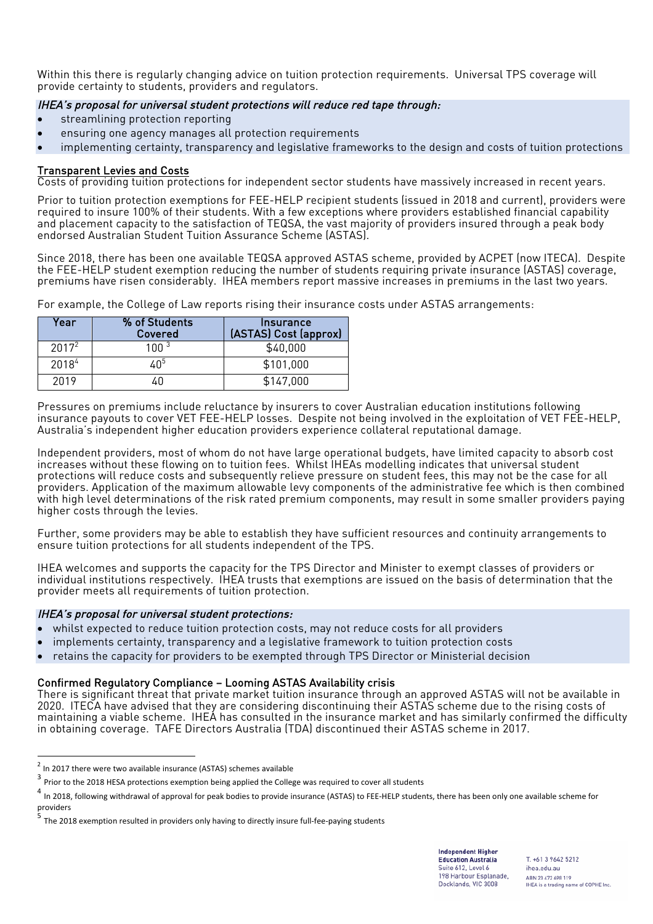Within this there is regularly changing advice on tuition protection requirements. Universal TPS coverage will provide certainty to students, providers and regulators.

# IHEA's proposal for universal student protections will reduce red tape through:

- streamlining protection reporting
- ensuring one agency manages all protection requirements
- implementing certainty, transparency and legislative frameworks to the design and costs of tuition protections

#### Transparent Levies and Costs

Costs of providing tuition protections for independent sector students have massively increased in recent years.

Prior to tuition protection exemptions for FEE-HELP recipient students (issued in 2018 and current), providers were required to insure 100% of their students. With a few exceptions where providers established financial capability and placement capacity to the satisfaction of TEQSA, the vast majority of providers insured through a peak body endorsed Australian Student Tuition Assurance Scheme (ASTAS).

Since 2018, there has been one available TEQSA approved ASTAS scheme, provided by ACPET (now ITECA). Despite the FEE-HELP student exemption reducing the number of students requiring private insurance (ASTAS) coverage, premiums have risen considerably. IHEA members report massive increases in premiums in the last two years.

For example, the College of Law reports rising their insurance costs under ASTAS arrangements:

| Year     | % of Students<br>Covered | Insurance<br>(ASTAS) Cost (approx) |
|----------|--------------------------|------------------------------------|
| $2017^2$ | 100 $3$                  | \$40,000                           |
| 20184    | ፈበነ                      | \$101,000                          |
| 2019     |                          | \$147,000                          |

Pressures on premiums include reluctance by insurers to cover Australian education institutions following insurance payouts to cover VET FEE-HELP losses. Despite not being involved in the exploitation of VET FEE-HELP, Australia's independent higher education providers experience collateral reputational damage.

Independent providers, most of whom do not have large operational budgets, have limited capacity to absorb cost increases without these flowing on to tuition fees. Whilst IHEAs modelling indicates that universal student protections will reduce costs and subsequently relieve pressure on student fees, this may not be the case for all providers. Application of the maximum allowable levy components of the administrative fee which is then combined with high level determinations of the risk rated premium components, may result in some smaller providers paying higher costs through the levies.

Further, some providers may be able to establish they have sufficient resources and continuity arrangements to ensure tuition protections for all students independent of the TPS.

IHEA welcomes and supports the capacity for the TPS Director and Minister to exempt classes of providers or individual institutions respectively. IHEA trusts that exemptions are issued on the basis of determination that the provider meets all requirements of tuition protection.

#### IHEA's proposal for universal student protections:

- whilst expected to reduce tuition protection costs, may not reduce costs for all providers
- implements certainty, transparency and a legislative framework to tuition protection costs
- retains the capacity for providers to be exempted through TPS Director or Ministerial decision

# Confirmed Regulatory Compliance – Looming ASTAS Availability crisis

There is significant threat that private market tuition insurance through an approved ASTAS will not be available in 2020. ITECA have advised that they are considering discontinuing their ASTAS scheme due to the rising costs of maintaining a viable scheme. IHEA has consulted in the insurance market and has similarly confirmed the difficulty in obtaining coverage. TAFE Directors Australia (TDA) discontinued their ASTAS scheme in 2017.

**Independent Higher Education Australia** Suite 612, Level 6 198 Harbour Esplanade. Docklands, VIC 3008

 $<sup>2</sup>$  In 2017 there were two available insurance (ASTAS) schemes available</sup>

 $\frac{3}{3}$  Prior to the 2018 HESA protections exemption being applied the College was required to cover all students

In 2018, following withdrawal of approval for peak bodies to provide insurance (ASTAS) to FEE-HELP students, there has been only one available scheme for providers

The 2018 exemption resulted in providers only having to directly insure full-fee-paying students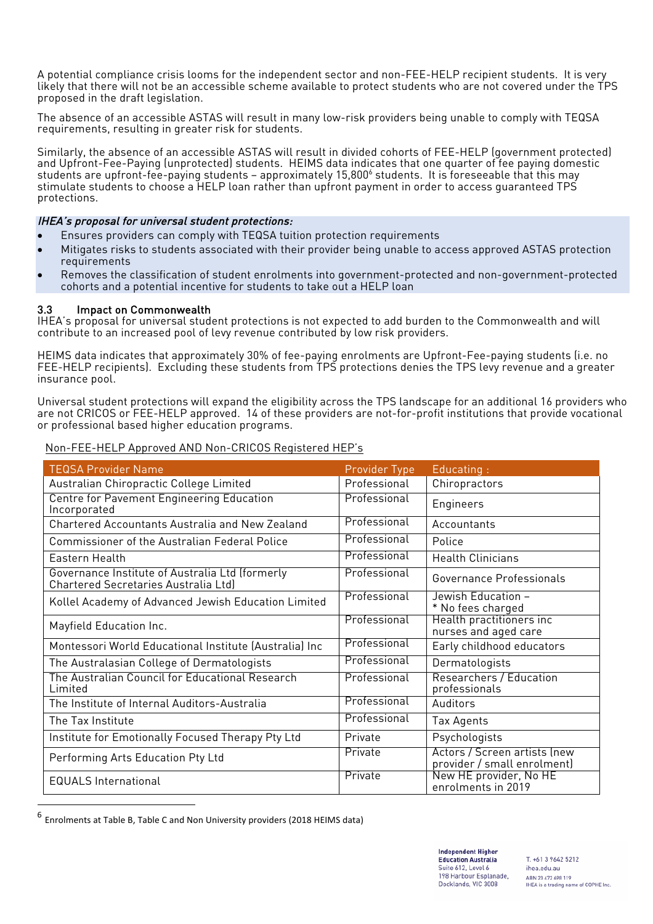A potential compliance crisis looms for the independent sector and non-FEE-HELP recipient students. It is very likely that there will not be an accessible scheme available to protect students who are not covered under the TPS proposed in the draft legislation.

The absence of an accessible ASTAS will result in many low-risk providers being unable to comply with TEQSA requirements, resulting in greater risk for students.

Similarly, the absence of an accessible ASTAS will result in divided cohorts of FEE-HELP (government protected) and Upfront-Fee-Paying (unprotected) students. HEIMS data indicates that one quarter of fee paying domestic students are upfront-fee-paying students – approximately 15,800<sup>6</sup> students. It is foreseeable that this may stimulate students to choose a HELP loan rather than upfront payment in order to access quaranteed TPS protections.

#### IHEA's proposal for universal student protections:

- Ensures providers can comply with TEQSA tuition protection requirements
- Mitigates risks to students associated with their provider being unable to access approved ASTAS protection requirements
- Removes the classification of student enrolments into government-protected and non-government-protected cohorts and a potential incentive for students to take out a HELP loan

#### 3.3 Impact on Commonwealth

IHEA's proposal for universal student protections is not expected to add burden to the Commonwealth and will contribute to an increased pool of levy revenue contributed by low risk providers.

HEIMS data indicates that approximately 30% of fee-paying enrolments are Upfront-Fee-paying students (i.e. no FEE-HELP recipients). Excluding these students from TPS protections denies the TPS levy revenue and a greater insurance pool.

Universal student protections will expand the eligibility across the TPS landscape for an additional 16 providers who are not CRICOS or FEE-HELP approved. 14 of these providers are not-for-profit institutions that provide vocational or professional based higher education programs.

| <b>TEQSA Provider Name</b>                                                              | Provider Type | Educating:                                                  |  |
|-----------------------------------------------------------------------------------------|---------------|-------------------------------------------------------------|--|
| Australian Chiropractic College Limited                                                 | Professional  | Chiropractors                                               |  |
| <b>Centre for Pavement Engineering Education</b><br>Incorporated                        | Professional  | Engineers                                                   |  |
| Chartered Accountants Australia and New Zealand                                         | Professional  | Accountants                                                 |  |
| <b>Commissioner of the Australian Federal Police</b>                                    | Professional  | Police                                                      |  |
| Eastern Health                                                                          | Professional  | <b>Health Clinicians</b>                                    |  |
| Governance Institute of Australia Ltd (formerly<br>Chartered Secretaries Australia Ltd) | Professional  | Governance Professionals                                    |  |
| Kollel Academy of Advanced Jewish Education Limited                                     | Professional  | Jewish Education –<br>* No fees charged                     |  |
| Mayfield Education Inc.                                                                 | Professional  | Health practitioners inc<br>nurses and aged care            |  |
| Montessori World Educational Institute (Australia) Inc                                  | Professional  | Early childhood educators                                   |  |
| The Australasian College of Dermatologists                                              | Professional  | Dermatologists                                              |  |
| The Australian Council for Educational Research<br>Limited                              | Professional  | Researchers / Education<br>professionals                    |  |
| The Institute of Internal Auditors-Australia                                            | Professional  | Auditors                                                    |  |
| The Tax Institute                                                                       | Professional  | Tax Agents                                                  |  |
| Institute for Emotionally Focused Therapy Pty Ltd                                       | Private       | Psychologists                                               |  |
| Performing Arts Education Pty Ltd                                                       | Private       | Actors / Screen artists (new<br>provider / small enrolment) |  |
| <b>EQUALS International</b>                                                             | Private       | New HE provider, No HE<br>enrolments in 2019                |  |

#### Non-FEE-HELP Approved AND Non-CRICOS Registered HEP's

 

Enrolments at Table B, Table C and Non University providers (2018 HEIMS data)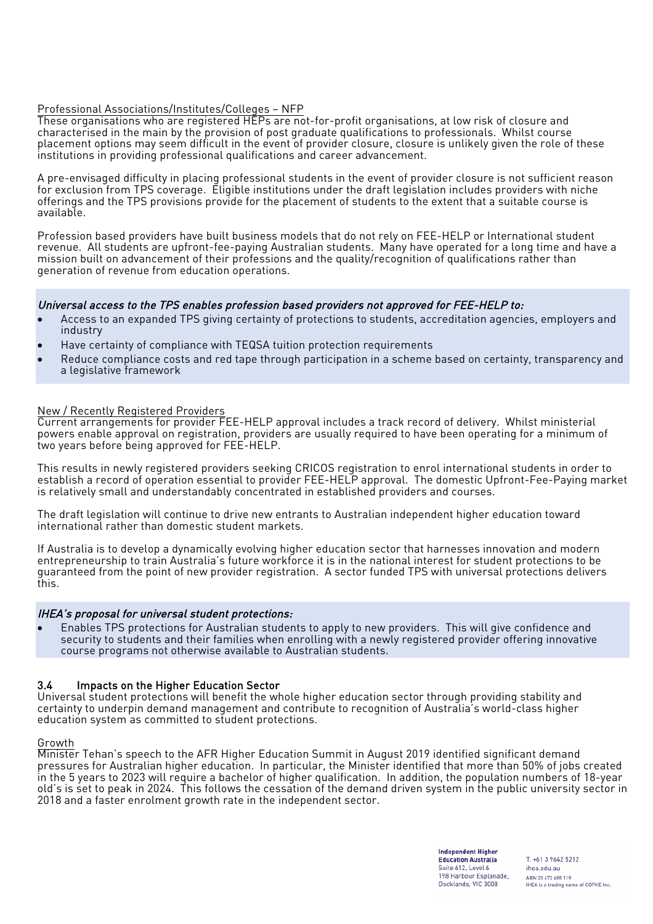#### Professional Associations/Institutes/Colleges – NFP

These organisations who are registered HEPs are not-for-profit organisations, at low risk of closure and characterised in the main by the provision of post graduate qualifications to professionals. Whilst course placement options may seem difficult in the event of provider closure, closure is unlikely given the role of these institutions in providing professional qualifications and career advancement.

A pre-envisaged difficulty in placing professional students in the event of provider closure is not sufficient reason for exclusion from TPS coverage. Eligible institutions under the draft legislation includes providers with niche offerings and the TPS provisions provide for the placement of students to the extent that a suitable course is available.

Profession based providers have built business models that do not rely on FEE-HELP or International student revenue. All students are upfront-fee-paying Australian students. Many have operated for a long time and have a mission built on advancement of their professions and the quality/recognition of qualifications rather than generation of revenue from education operations.

#### Universal access to the TPS enables profession based providers not approved for FEE-HELP to:

- Access to an expanded TPS giving certainty of protections to students, accreditation agencies, employers and industry
- Have certainty of compliance with TEQSA tuition protection requirements
- Reduce compliance costs and red tape through participation in a scheme based on certainty, transparency and a legislative framework

#### New / Recently Registered Providers

Current arrangements for provider FEE-HELP approval includes a track record of delivery. Whilst ministerial powers enable approval on registration, providers are usually required to have been operating for a minimum of two years before being approved for FEE-HELP.

This results in newly registered providers seeking CRICOS registration to enrol international students in order to establish a record of operation essential to provider FEE-HELP approval. The domestic Upfront-Fee-Paying market is relatively small and understandably concentrated in established providers and courses.

The draft legislation will continue to drive new entrants to Australian independent higher education toward international rather than domestic student markets.

If Australia is to develop a dynamically evolving higher education sector that harnesses innovation and modern entrepreneurship to train Australia's future workforce it is in the national interest for student protections to be guaranteed from the point of new provider registration. A sector funded TPS with universal protections delivers this.

#### IHEA's proposal for universal student protections:

• Enables TPS protections for Australian students to apply to new providers. This will give confidence and security to students and their families when enrolling with a newly registered provider offering innovative course programs not otherwise available to Australian students.

#### 3.4 Impacts on the Higher Education Sector

Universal student protections will benefit the whole higher education sector through providing stability and certainty to underpin demand management and contribute to recognition of Australia's world-class higher education system as committed to student protections.

#### Growth

Minister Tehan's speech to the AFR Higher Education Summit in August 2019 identified significant demand pressures for Australian higher education. In particular, the Minister identified that more than 50% of jobs created in the 5 years to 2023 will require a bachelor of higher qualification. In addition, the population numbers of 18-year old's is set to peak in 2024. This follows the cessation of the demand driven system in the public university sector in 2018 and a faster enrolment growth rate in the independent sector.

> **Independent Higher Education Australia** Suite 612, Level 6 198 Harbour Esplanade. Docklands, VIC 3008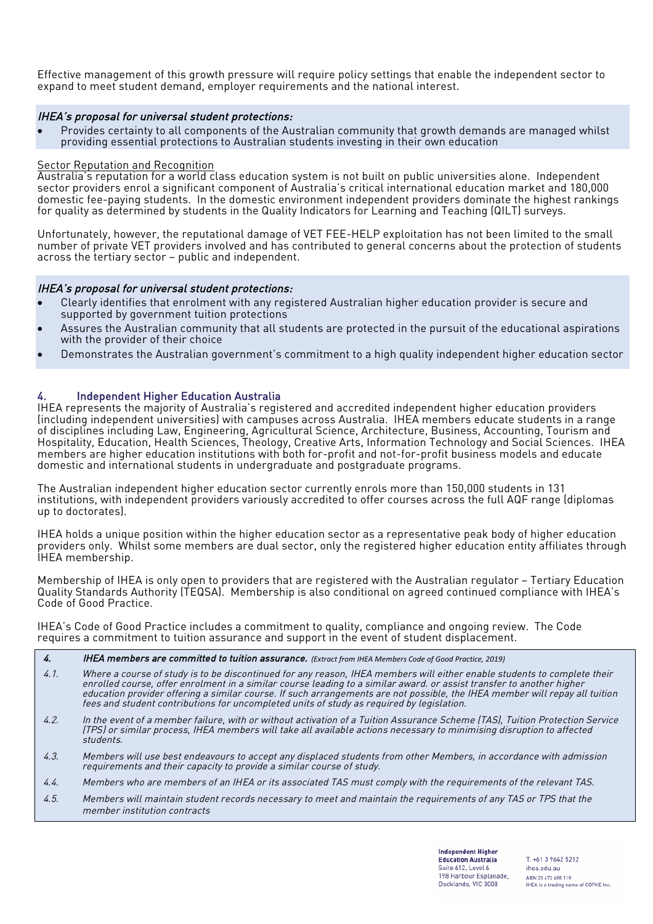Effective management of this growth pressure will require policy settings that enable the independent sector to expand to meet student demand, employer requirements and the national interest.

#### IHEA's proposal for universal student protections:

• Provides certainty to all components of the Australian community that growth demands are managed whilst providing essential protections to Australian students investing in their own education

#### Sector Reputation and Recognition

Australia's reputation for a world class education system is not built on public universities alone. Independent sector providers enrol a significant component of Australia's critical international education market and 180,000 domestic fee-paying students. In the domestic environment independent providers dominate the highest rankings for quality as determined by students in the Quality Indicators for Learning and Teaching (QILT) surveys.

Unfortunately, however, the reputational damage of VET FEE-HELP exploitation has not been limited to the small number of private VET providers involved and has contributed to general concerns about the protection of students across the tertiary sector – public and independent.

#### IHEA's proposal for universal student protections:

- Clearly identifies that enrolment with any registered Australian higher education provider is secure and supported by government tuition protections
- Assures the Australian community that all students are protected in the pursuit of the educational aspirations with the provider of their choice
- Demonstrates the Australian government's commitment to a high quality independent higher education sector

#### 4. Independent Higher Education Australia

IHEA represents the majority of Australia's registered and accredited independent higher education providers (including independent universities) with campuses across Australia. IHEA members educate students in a range of disciplines including Law, Engineering, Agricultural Science, Architecture, Business, Accounting, Tourism and Hospitality, Education, Health Sciences, Theology, Creative Arts, Information Technology and Social Sciences. IHEA members are higher education institutions with both for-profit and not-for-profit business models and educate domestic and international students in undergraduate and postgraduate programs.

The Australian independent higher education sector currently enrols more than 150,000 students in 131 institutions, with independent providers variously accredited to offer courses across the full AQF range (diplomas up to doctorates).

IHEA holds a unique position within the higher education sector as a representative peak body of higher education providers only. Whilst some members are dual sector, only the registered higher education entity affiliates through IHEA membership.

Membership of IHEA is only open to providers that are registered with the Australian regulator – Tertiary Education Quality Standards Authority (TEQSA). Membership is also conditional on agreed continued compliance with IHEA's Code of Good Practice.

IHEA's Code of Good Practice includes a commitment to quality, compliance and ongoing review. The Code requires a commitment to tuition assurance and support in the event of student displacement.

- 4. **IHEA members are committed to tuition assurance.** (Extract from IHEA Members Code of Good Practice, 2019)
- 4.1. Where a course of study is to be discontinued for any reason, IHEA members will either enable students to complete their enrolled course, offer enrolment in a similar course leading to a similar award. or assist transfer to another higher education provider offering a similar course. If such arrangements are not possible, the IHEA member will repay all tuition fees and student contributions for uncompleted units of study as required by legislation.
- 4.2. In the event of a member failure, with or without activation of a Tuition Assurance Scheme (TAS), Tuition Protection Service (TPS) or similar process, IHEA members will take all available actions necessary to minimising disruption to affected students.
- 4.3. Members will use best endeavours to accept any displaced students from other Members, in accordance with admission requirements and their capacity to provide a similar course of study.
- 4.4. Members who are members of an IHEA or its associated TAS must comply with the requirements of the relevant TAS.
- 4.5. Members will maintain student records necessary to meet and maintain the requirements of any TAS or TPS that the member institution contracts

**Independent Higher Education Australia** Suite 612, Level 6 198 Harbour Esplanade. Docklands, VIC 3008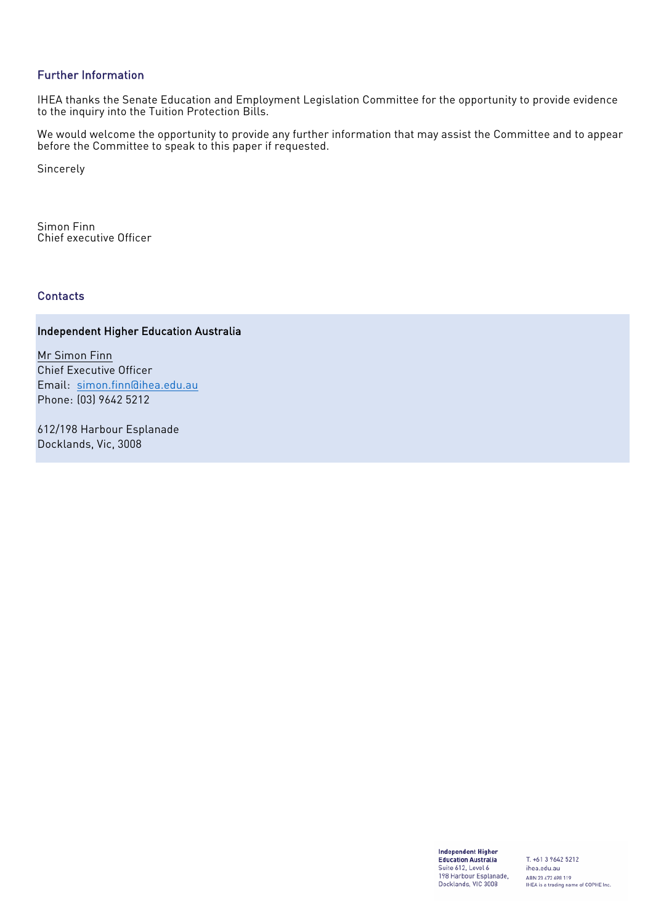# Further Information

IHEA thanks the Senate Education and Employment Legislation Committee for the opportunity to provide evidence to the inquiry into the Tuition Protection Bills.

We would welcome the opportunity to provide any further information that may assist the Committee and to appear before the Committee to speak to this paper if requested.

Sincerely

Simon Finn Chief executive Officer

# **Contacts**

# Independent Higher Education Australia

Mr Simon Finn Chief Executive Officer Email: simon.finn@ihea.edu.au Phone: (03) 9642 5212

612/198 Harbour Esplanade Docklands, Vic, 3008

> **Independent Higher** Education Australia Suite 612, Level 6<br>198 Harbour Esplanade,<br>Docklands, VIC 3008